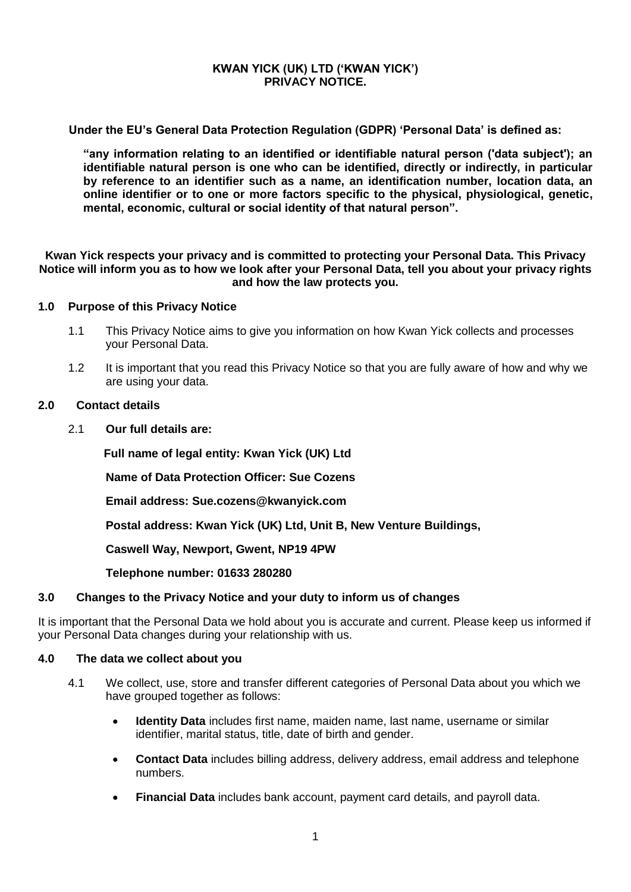### **KWAN YICK (UK) LTD ('KWAN YICK') PRIVACY NOTICE.**

**Under the EU's General Data Protection Regulation (GDPR) 'Personal Data' is defined as:**

**"any information relating to an identified or identifiable natural person ('data subject'); an identifiable natural person is one who can be identified, directly or indirectly, in particular by reference to an identifier such as a name, an identification number, location data, an online identifier or to one or more factors specific to the physical, physiological, genetic, mental, economic, cultural or social identity of that natural person".**

**Kwan Yick respects your privacy and is committed to protecting your Personal Data. This Privacy Notice will inform you as to how we look after your Personal Data, tell you about your privacy rights and how the law protects you.**

### **1.0 Purpose of this Privacy Notice**

- 1.1 This Privacy Notice aims to give you information on how Kwan Yick collects and processes your Personal Data.
- 1.2 It is important that you read this Privacy Notice so that you are fully aware of how and why we are using your data.

#### **2.0 Contact details**

2.1 **Our full details are:**

 **Full name of legal entity: Kwan Yick (UK) Ltd**

**Name of Data Protection Officer: Sue Cozens**

**Email address: Sue.cozens@kwanyick.com**

**Postal address: Kwan Yick (UK) Ltd, Unit B, New Venture Buildings,**

**Caswell Way, Newport, Gwent, NP19 4PW**

**Telephone number: 01633 280280**

### **3.0 Changes to the Privacy Notice and your duty to inform us of changes**

It is important that the Personal Data we hold about you is accurate and current. Please keep us informed if your Personal Data changes during your relationship with us.

#### **4.0 The data we collect about you**

- 4.1 We collect, use, store and transfer different categories of Personal Data about you which we have grouped together as follows:
	- **Identity Data** includes first name, maiden name, last name, username or similar identifier, marital status, title, date of birth and gender.
	- **Contact Data** includes billing address, delivery address, email address and telephone numbers.
	- **Financial Data** includes bank account, payment card details, and payroll data.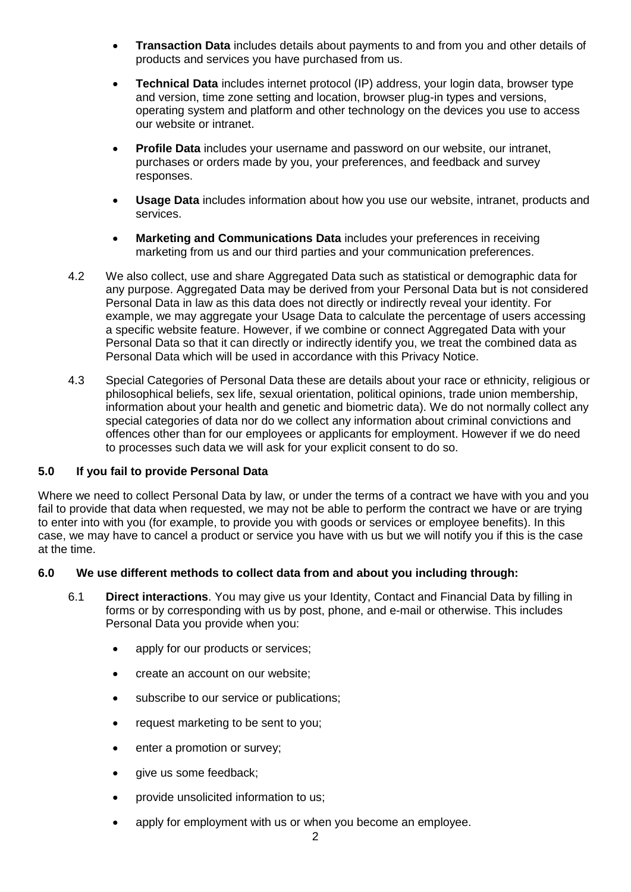- **Transaction Data** includes details about payments to and from you and other details of products and services you have purchased from us.
- **Technical Data** includes internet protocol (IP) address, your login data, browser type and version, time zone setting and location, browser plug-in types and versions, operating system and platform and other technology on the devices you use to access our website or intranet.
- **Profile Data** includes your username and password on our website, our intranet, purchases or orders made by you, your preferences, and feedback and survey responses.
- **Usage Data** includes information about how you use our website, intranet, products and services.
- **Marketing and Communications Data** includes your preferences in receiving marketing from us and our third parties and your communication preferences.
- 4.2 We also collect, use and share Aggregated Data such as statistical or demographic data for any purpose. Aggregated Data may be derived from your Personal Data but is not considered Personal Data in law as this data does not directly or indirectly reveal your identity. For example, we may aggregate your Usage Data to calculate the percentage of users accessing a specific website feature. However, if we combine or connect Aggregated Data with your Personal Data so that it can directly or indirectly identify you, we treat the combined data as Personal Data which will be used in accordance with this Privacy Notice.
- 4.3 Special Categories of Personal Data these are details about your race or ethnicity, religious or philosophical beliefs, sex life, sexual orientation, political opinions, trade union membership, information about your health and genetic and biometric data). We do not normally collect any special categories of data nor do we collect any information about criminal convictions and offences other than for our employees or applicants for employment. However if we do need to processes such data we will ask for your explicit consent to do so.

# **5.0 If you fail to provide Personal Data**

Where we need to collect Personal Data by law, or under the terms of a contract we have with you and you fail to provide that data when requested, we may not be able to perform the contract we have or are trying to enter into with you (for example, to provide you with goods or services or employee benefits). In this case, we may have to cancel a product or service you have with us but we will notify you if this is the case at the time.

## **6.0 We use different methods to collect data from and about you including through:**

- 6.1 **Direct interactions**. You may give us your Identity, Contact and Financial Data by filling in forms or by corresponding with us by post, phone, and e-mail or otherwise. This includes Personal Data you provide when you:
	- apply for our products or services;
	- create an account on our website;
	- subscribe to our service or publications;
	- request marketing to be sent to you;
	- enter a promotion or survey;
	- give us some feedback;
	- provide unsolicited information to us;
	- apply for employment with us or when you become an employee.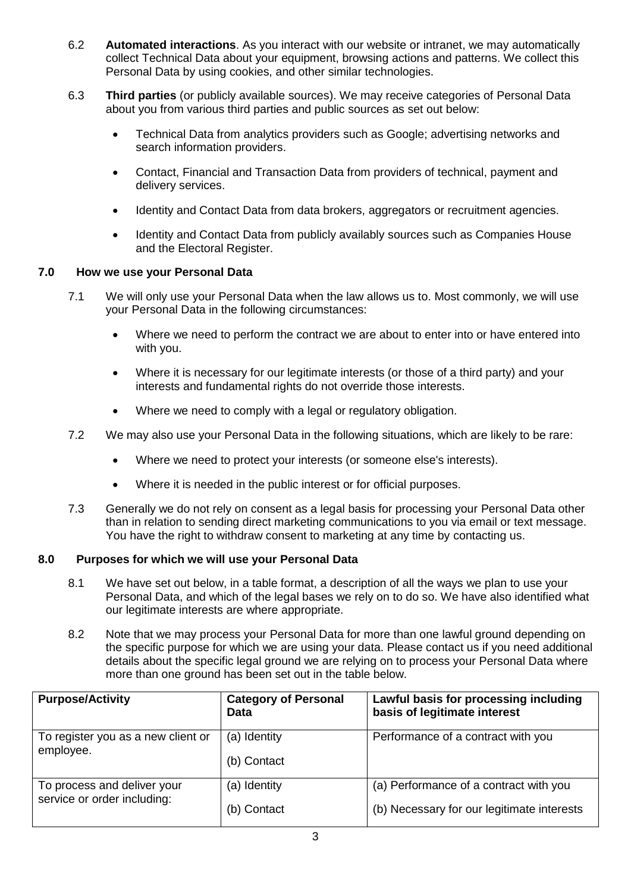- 6.2 **Automated interactions**. As you interact with our website or intranet, we may automatically collect Technical Data about your equipment, browsing actions and patterns. We collect this Personal Data by using cookies, and other similar technologies.
- 6.3 **Third parties** (or publicly available sources). We may receive categories of Personal Data about you from various third parties and public sources as set out below:
	- Technical Data from analytics providers such as Google; advertising networks and search information providers.
	- Contact, Financial and Transaction Data from providers of technical, payment and delivery services.
	- Identity and Contact Data from data brokers, aggregators or recruitment agencies.
	- Identity and Contact Data from publicly availably sources such as Companies House and the Electoral Register.

## **7.0 How we use your Personal Data**

- 7.1 We will only use your Personal Data when the law allows us to. Most commonly, we will use your Personal Data in the following circumstances:
	- Where we need to perform the contract we are about to enter into or have entered into with you.
	- Where it is necessary for our legitimate interests (or those of a third party) and your interests and fundamental rights do not override those interests.
	- Where we need to comply with a legal or regulatory obligation.
- 7.2 We may also use your Personal Data in the following situations, which are likely to be rare:
	- Where we need to protect your interests (or someone else's interests).
	- Where it is needed in the public interest or for official purposes.
- 7.3 Generally we do not rely on consent as a legal basis for processing your Personal Data other than in relation to sending direct marketing communications to you via email or text message. You have the right to withdraw consent to marketing at any time by contacting us.

### **8.0 Purposes for which we will use your Personal Data**

- 8.1 We have set out below, in a table format, a description of all the ways we plan to use your Personal Data, and which of the legal bases we rely on to do so. We have also identified what our legitimate interests are where appropriate.
- 8.2 Note that we may process your Personal Data for more than one lawful ground depending on the specific purpose for which we are using your data. Please contact us if you need additional details about the specific legal ground we are relying on to process your Personal Data where more than one ground has been set out in the table below.

| <b>Purpose/Activity</b>                                    | <b>Category of Personal</b><br><b>Data</b> | Lawful basis for processing including<br>basis of legitimate interest |
|------------------------------------------------------------|--------------------------------------------|-----------------------------------------------------------------------|
| To register you as a new client or<br>employee.            | (a) Identity                               | Performance of a contract with you                                    |
|                                                            | (b) Contact                                |                                                                       |
| To process and deliver your<br>service or order including: | (a) Identity                               | (a) Performance of a contract with you                                |
|                                                            | (b) Contact                                | (b) Necessary for our legitimate interests                            |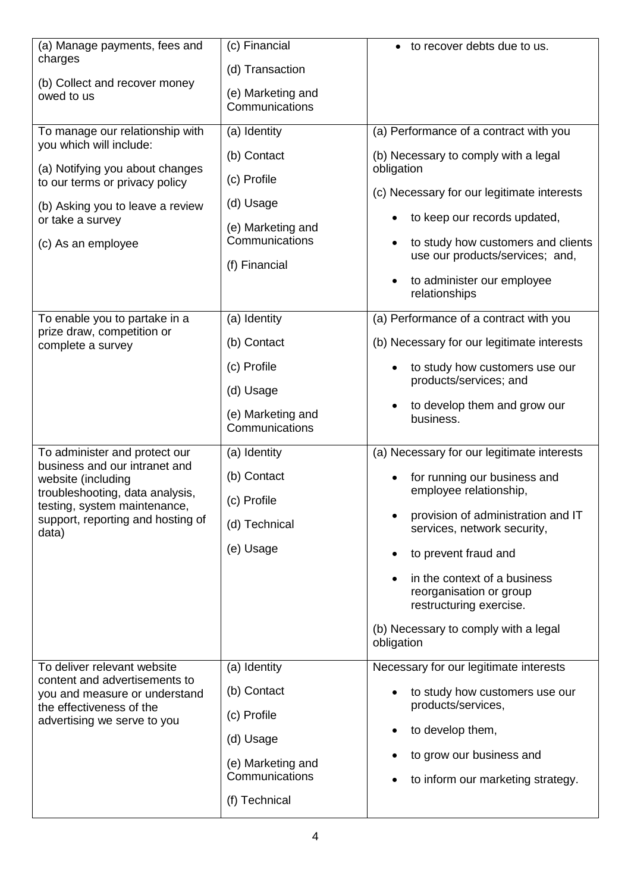| (a) Manage payments, fees and<br>charges                                                      | (c) Financial                       | to recover debts due to us.                                                        |
|-----------------------------------------------------------------------------------------------|-------------------------------------|------------------------------------------------------------------------------------|
|                                                                                               | (d) Transaction                     |                                                                                    |
| (b) Collect and recover money<br>owed to us                                                   | (e) Marketing and<br>Communications |                                                                                    |
| To manage our relationship with                                                               | (a) Identity                        | (a) Performance of a contract with you                                             |
| you which will include:<br>(a) Notifying you about changes                                    | (b) Contact                         | (b) Necessary to comply with a legal<br>obligation                                 |
| to our terms or privacy policy                                                                | (c) Profile                         | (c) Necessary for our legitimate interests                                         |
| (b) Asking you to leave a review                                                              | (d) Usage                           |                                                                                    |
| or take a survey                                                                              | (e) Marketing and                   | to keep our records updated,                                                       |
| (c) As an employee                                                                            | Communications<br>(f) Financial     | to study how customers and clients<br>$\bullet$<br>use our products/services; and, |
|                                                                                               |                                     | to administer our employee<br>$\bullet$<br>relationships                           |
| To enable you to partake in a                                                                 | (a) Identity                        | (a) Performance of a contract with you                                             |
| prize draw, competition or<br>complete a survey                                               | (b) Contact                         | (b) Necessary for our legitimate interests                                         |
|                                                                                               | (c) Profile                         | to study how customers use our<br>products/services; and                           |
|                                                                                               | (d) Usage                           |                                                                                    |
|                                                                                               | (e) Marketing and<br>Communications | to develop them and grow our<br>business.                                          |
| To administer and protect our                                                                 | (a) Identity                        | (a) Necessary for our legitimate interests                                         |
| business and our intranet and<br>website (including                                           | (b) Contact                         | for running our business and<br>$\bullet$                                          |
| troubleshooting, data analysis,<br>testing, system maintenance,                               | (c) Profile                         | employee relationship,                                                             |
| support, reporting and hosting of<br>data)                                                    | (d) Technical                       | provision of administration and IT<br>services, network security,                  |
|                                                                                               | (e) Usage                           | to prevent fraud and                                                               |
|                                                                                               |                                     | in the context of a business<br>reorganisation or group<br>restructuring exercise. |
|                                                                                               |                                     | (b) Necessary to comply with a legal<br>obligation                                 |
| To deliver relevant website<br>content and advertisements to<br>you and measure or understand | (a) Identity                        | Necessary for our legitimate interests                                             |
|                                                                                               | (b) Contact                         | to study how customers use our<br>products/services,                               |
| the effectiveness of the<br>advertising we serve to you                                       | (c) Profile                         |                                                                                    |
|                                                                                               | (d) Usage                           | to develop them,                                                                   |
|                                                                                               | (e) Marketing and<br>Communications | to grow our business and<br>to inform our marketing strategy.                      |
|                                                                                               | (f) Technical                       |                                                                                    |
|                                                                                               |                                     |                                                                                    |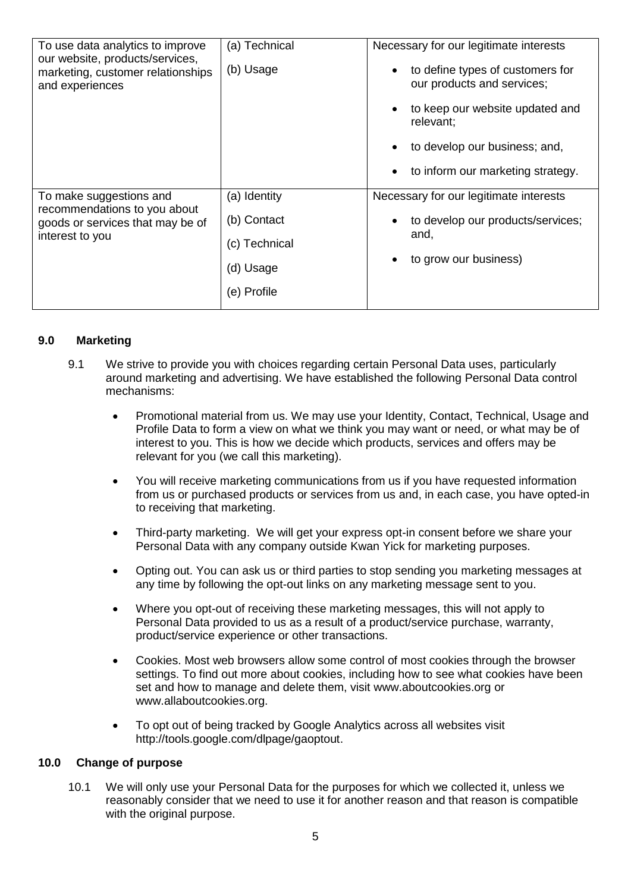| To use data analytics to improve<br>our website, products/services,<br>marketing, customer relationships<br>and experiences | (a) Technical<br>(b) Usage                                               | Necessary for our legitimate interests<br>to define types of customers for<br>$\bullet$<br>our products and services;<br>to keep our website updated and<br>relevant;<br>to develop our business; and,<br>$\bullet$<br>to inform our marketing strategy.<br>$\bullet$ |
|-----------------------------------------------------------------------------------------------------------------------------|--------------------------------------------------------------------------|-----------------------------------------------------------------------------------------------------------------------------------------------------------------------------------------------------------------------------------------------------------------------|
| To make suggestions and<br>recommendations to you about<br>goods or services that may be of<br>interest to you              | (a) Identity<br>(b) Contact<br>(c) Technical<br>(d) Usage<br>(e) Profile | Necessary for our legitimate interests<br>to develop our products/services;<br>$\bullet$<br>and,<br>to grow our business)                                                                                                                                             |

# **9.0 Marketing**

- 9.1 We strive to provide you with choices regarding certain Personal Data uses, particularly around marketing and advertising. We have established the following Personal Data control mechanisms:
	- Promotional material from us. We may use your Identity, Contact, Technical, Usage and Profile Data to form a view on what we think you may want or need, or what may be of interest to you. This is how we decide which products, services and offers may be relevant for you (we call this marketing).
	- You will receive marketing communications from us if you have requested information from us or purchased products or services from us and, in each case, you have opted-in to receiving that marketing.
	- Third-party marketing. We will get your express opt-in consent before we share your Personal Data with any company outside Kwan Yick for marketing purposes.
	- Opting out. You can ask us or third parties to stop sending you marketing messages at any time by following the opt-out links on any marketing message sent to you.
	- Where you opt-out of receiving these marketing messages, this will not apply to Personal Data provided to us as a result of a product/service purchase, warranty, product/service experience or other transactions.
	- Cookies. Most web browsers allow some control of most cookies through the browser settings. To find out more about cookies, including how to see what cookies have been set and how to manage and delete them, visit [www.aboutcookies.org](http://www.aboutcookies.org/) or [www.allaboutcookies.org.](http://www.allaboutcookies.org/)
	- To opt out of being tracked by Google Analytics across all websites visit [http://tools.google.com/dlpage/gaoptout.](http://tools.google.com/dlpage/gaoptout)

### **10.0 Change of purpose**

10.1 We will only use your Personal Data for the purposes for which we collected it, unless we reasonably consider that we need to use it for another reason and that reason is compatible with the original purpose.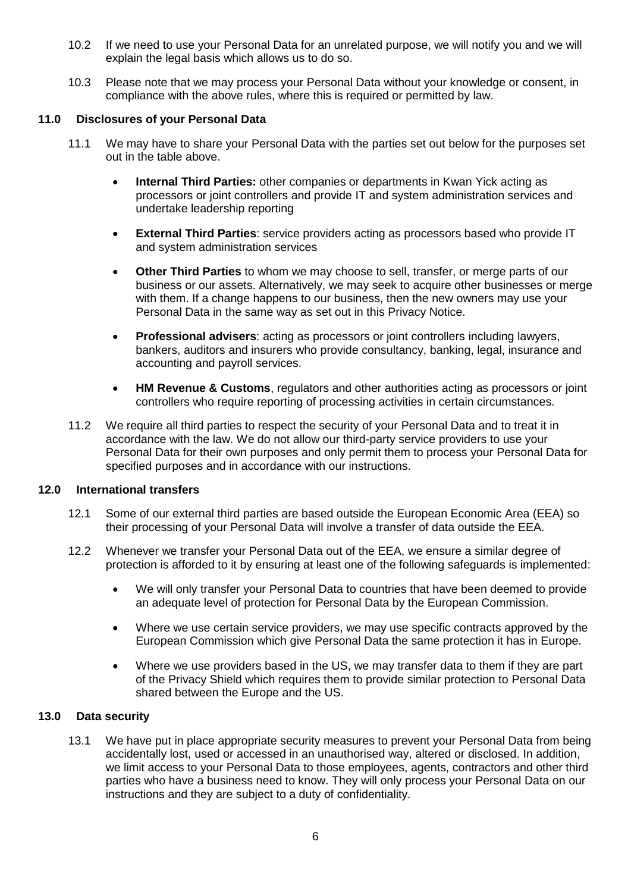- 10.2 If we need to use your Personal Data for an unrelated purpose, we will notify you and we will explain the legal basis which allows us to do so.
- 10.3 Please note that we may process your Personal Data without your knowledge or consent, in compliance with the above rules, where this is required or permitted by law.

# **11.0 Disclosures of your Personal Data**

- 11.1 We may have to share your Personal Data with the parties set out below for the purposes set out in the table above.
	- **Internal Third Parties:** other companies or departments in Kwan Yick acting as processors or joint controllers and provide IT and system administration services and undertake leadership reporting
	- **External Third Parties**: service providers acting as processors based who provide IT and system administration services
	- **Other Third Parties** to whom we may choose to sell, transfer, or merge parts of our business or our assets. Alternatively, we may seek to acquire other businesses or merge with them. If a change happens to our business, then the new owners may use your Personal Data in the same way as set out in this Privacy Notice.
	- **Professional advisers**: acting as processors or joint controllers including lawyers, bankers, auditors and insurers who provide consultancy, banking, legal, insurance and accounting and payroll services.
	- **HM Revenue & Customs**, regulators and other authorities acting as processors or joint controllers who require reporting of processing activities in certain circumstances.
- 11.2 We require all third parties to respect the security of your Personal Data and to treat it in accordance with the law. We do not allow our third-party service providers to use your Personal Data for their own purposes and only permit them to process your Personal Data for specified purposes and in accordance with our instructions.

## **12.0 International transfers**

- 12.1 Some of our external third parties are based outside the European Economic Area (EEA) so their processing of your Personal Data will involve a transfer of data outside the EEA.
- 12.2 Whenever we transfer your Personal Data out of the EEA, we ensure a similar degree of protection is afforded to it by ensuring at least one of the following safeguards is implemented:
	- We will only transfer your Personal Data to countries that have been deemed to provide an adequate level of protection for Personal Data by the European Commission.
	- Where we use certain service providers, we may use specific contracts approved by the European Commission which give Personal Data the same protection it has in Europe.
	- Where we use providers based in the US, we may transfer data to them if they are part of the Privacy Shield which requires them to provide similar protection to Personal Data shared between the Europe and the US.

## **13.0 Data security**

13.1 We have put in place appropriate security measures to prevent your Personal Data from being accidentally lost, used or accessed in an unauthorised way, altered or disclosed. In addition, we limit access to your Personal Data to those employees, agents, contractors and other third parties who have a business need to know. They will only process your Personal Data on our instructions and they are subject to a duty of confidentiality.